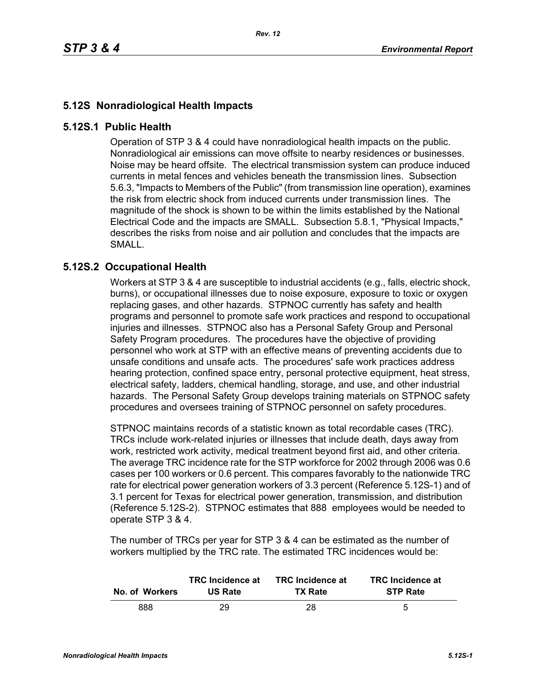## **5.12S Nonradiological Health Impacts**

## **5.12S.1 Public Health**

Operation of STP 3 & 4 could have nonradiological health impacts on the public. Nonradiological air emissions can move offsite to nearby residences or businesses. Noise may be heard offsite. The electrical transmission system can produce induced currents in metal fences and vehicles beneath the transmission lines. Subsection 5.6.3, "Impacts to Members of the Public" (from transmission line operation), examines the risk from electric shock from induced currents under transmission lines. The magnitude of the shock is shown to be within the limits established by the National Electrical Code and the impacts are SMALL. Subsection 5.8.1, "Physical Impacts," describes the risks from noise and air pollution and concludes that the impacts are SMALL.

## **5.12S.2 Occupational Health**

Workers at STP 3 & 4 are susceptible to industrial accidents (e.g., falls, electric shock, burns), or occupational illnesses due to noise exposure, exposure to toxic or oxygen replacing gases, and other hazards. STPNOC currently has safety and health programs and personnel to promote safe work practices and respond to occupational injuries and illnesses. STPNOC also has a Personal Safety Group and Personal Safety Program procedures. The procedures have the objective of providing personnel who work at STP with an effective means of preventing accidents due to unsafe conditions and unsafe acts. The procedures' safe work practices address hearing protection, confined space entry, personal protective equipment, heat stress, electrical safety, ladders, chemical handling, storage, and use, and other industrial hazards. The Personal Safety Group develops training materials on STPNOC safety procedures and oversees training of STPNOC personnel on safety procedures.

STPNOC maintains records of a statistic known as total recordable cases (TRC). TRCs include work-related injuries or illnesses that include death, days away from work, restricted work activity, medical treatment beyond first aid, and other criteria. The average TRC incidence rate for the STP workforce for 2002 through 2006 was 0.6 cases per 100 workers or 0.6 percent. This compares favorably to the nationwide TRC rate for electrical power generation workers of 3.3 percent (Reference 5.12S-1) and of 3.1 percent for Texas for electrical power generation, transmission, and distribution (Reference 5.12S-2). STPNOC estimates that 888 employees would be needed to operate STP 3 & 4.

The number of TRCs per year for STP 3 & 4 can be estimated as the number of workers multiplied by the TRC rate. The estimated TRC incidences would be:

| No. of Workers | <b>TRC</b> Incidence at | <b>TRC</b> Incidence at | <b>TRC</b> Incidence at |
|----------------|-------------------------|-------------------------|-------------------------|
|                | <b>US Rate</b>          | <b>TX Rate</b>          | <b>STP Rate</b>         |
| 888            | 29                      | 28.                     | 5                       |